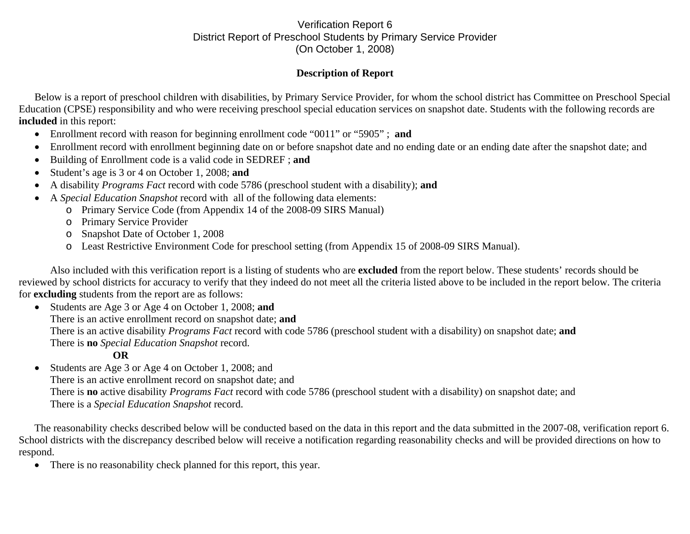## Verification Report 6 District Report of Preschool Students by Primary Service Provider (On October 1, 2008)

## **Description of Report**

Below is a report of preschool children with disabilities, by Primary Service Provider, for whom the school district has Committee on Preschool Special Education (CPSE) responsibility and who were receiving preschool special education services on snapshot date. Students with the following records are **included** in this report:

- Enrollment record with reason for beginning enrollment code "0011" or "5905" ; **and**
- •Enrollment record with enrollment beginning date on or before snapshot date and no ending date or an ending date after the snapshot date; and
- •Building of Enrollment code is a valid code in SEDREF ; **and**
- •Student's age is 3 or 4 on October 1, 2008; **and**
- •A disability *Programs Fact* record with code 5786 (preschool student with a disability); **and**
- • A *Special Education Snapshot* record with all of the following data elements:
	- o Primary Service Code (from Appendix 14 of the 2008-09 SIRS Manual)
	- o Primary Service Provider
	- o Snapshot Date of October 1, 2008
	- o Least Restrictive Environment Code for preschool setting (from Appendix 15 of 2008-09 SIRS Manual).

Also included with this verification report is a listing of students who are **excluded** from the report below. These students' records should be reviewed by school districts for accuracy to verify that they indeed do not meet all the criteria listed above to be included in the report below. The criteria for **excluding** students from the report are as follows:

• Students are Age 3 or Age 4 on October 1, 2008; **and**  There is an active enrollment record on snapshot date; **and** There is an active disability *Programs Fact* record with code 5786 (preschool student with a disability) on snapshot date; **and** There is **no** *Special Education Snapshot* record.

## **OR**

 $\bullet$  Students are Age 3 or Age 4 on October 1, 2008; and There is an active enrollment record on snapshot date; and There is **no** active disability *Programs Fact* record with code 5786 (preschool student with a disability) on snapshot date; and There is a *Special Education Snapshot* record.

The reasonability checks described below will be conducted based on the data in this report and the data submitted in the 2007-08, verification report 6. School districts with the discrepancy described below will receive a notification regarding reasonability checks and will be provided directions on how to respond.

 $\bullet$ There is no reasonability check planned for this report, this year.